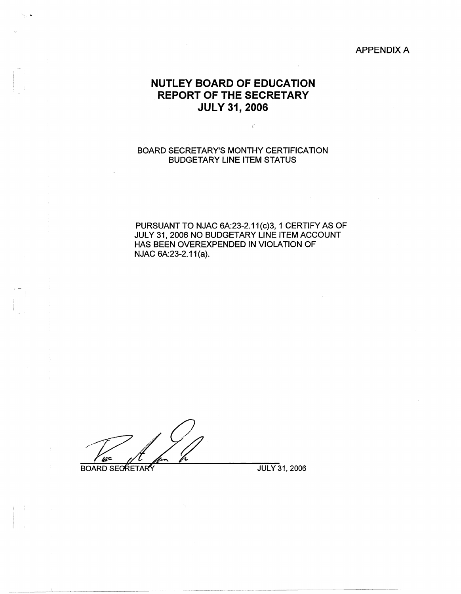### APPENDIX A

# **NUTLEY BOARD OF EDUCATION REPORT OF THE SECRETARY JULY 31, 2006**

 $\bar{\zeta}$ 

# BOARD SECRETARY'S MONTHY CERTIFICATION BUDGETARY LINE ITEM STATUS

PURSUANT TO NJAC 6A:23-2.11(c)3, 1 CERTIFY AS OF JULY 31, 2006 NO BUDGETARY LINE ITEM ACCOUNT HAS BEEN OVEREXPENDED IN VIOLATION OF NJAC 6A:23-2.11(a).

Vit-

**BOARD SECRETARY** 

JULY 31, 2006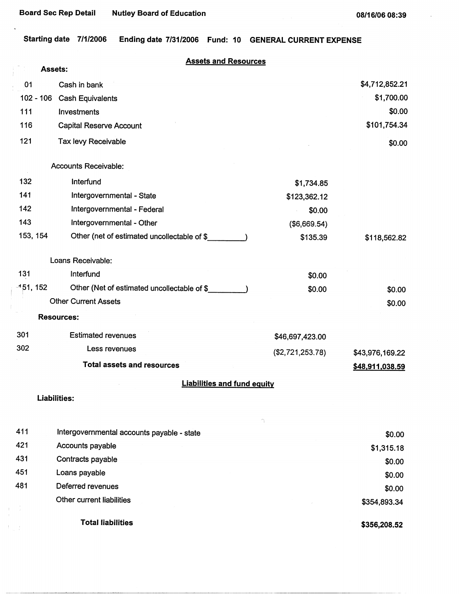l,

ŧ

 $\Gamma_{\rm in}$  )

**Starting date 7/1/2006 Ending date 7/31/2006 Fund: 10 GENERAL CURRENT EXPENSE** 

|             | <b>Assets:</b>                              | <b>Assets and Resources</b>        |                 |
|-------------|---------------------------------------------|------------------------------------|-----------------|
| 01          | Cash in bank                                |                                    | \$4,712,852.21  |
|             | $102 - 106$<br><b>Cash Equivalents</b>      |                                    | \$1,700.00      |
| 111         | Investments                                 |                                    | \$0.00          |
| 116         | <b>Capital Reserve Account</b>              |                                    | \$101,754.34    |
| 121         | Tax levy Receivable                         |                                    | \$0.00          |
|             | <b>Accounts Receivable:</b>                 |                                    |                 |
| 132         | Interfund                                   | \$1,734.85                         |                 |
| 141         | Intergovernmental - State                   | \$123,362.12                       |                 |
| 142         | Intergovernmental - Federal                 | \$0.00                             |                 |
| 143         | Intergovernmental - Other                   | (\$6,669.54)                       |                 |
| 153, 154    | Other (net of estimated uncollectable of \$ | \$135.39                           | \$118,562.82    |
|             | Loans Receivable:                           |                                    |                 |
| 131         | Interfund                                   | \$0.00                             |                 |
| $-151, 152$ | Other (Net of estimated uncollectable of \$ | \$0.00                             | \$0.00          |
|             | <b>Other Current Assets</b>                 |                                    | \$0.00          |
|             | <b>Resources:</b>                           |                                    |                 |
| 301         | <b>Estimated revenues</b>                   | \$46,697,423.00                    |                 |
| 302         | Less revenues                               | (\$2,721,253.78)                   | \$43,976,169.22 |
|             | <b>Total assets and resources</b>           |                                    | \$48,911,038.59 |
|             |                                             | <b>Liabilities and fund equity</b> |                 |
|             | <b>Liabilities:</b>                         |                                    |                 |
| 411         | Intergovernmental accounts payable - state  | $\gamma$                           | \$0.00          |
| 421         | Accounts payable                            |                                    | \$1,315.18      |
| 431         | Contracts payable                           |                                    | \$0.00          |
| 451         | Loans payable                               |                                    | \$0.00          |
| 481         | Deferred revenues                           |                                    | \$0.00          |
|             | Other current liabilities                   |                                    | \$354,893.34    |
|             | <b>Total liabilities</b>                    |                                    | \$356,208.52    |

**\$356,208.52**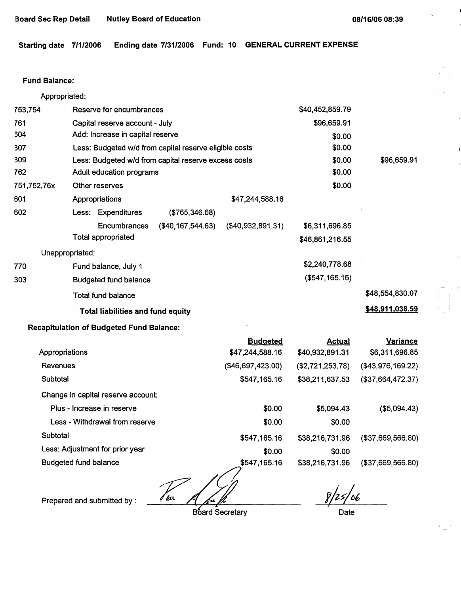k.

**Starting date 7/1/2006 Ending date 7/31/2006 Fund: 10 GENERAL CURRENT EXPENSE** 

## Fund **Balance:**

| Appropriated:  |                                                        |                     |                      |                   |                   |
|----------------|--------------------------------------------------------|---------------------|----------------------|-------------------|-------------------|
| 753,754        | Reserve for encumbrances                               |                     |                      | \$40,452,859.79   |                   |
| 761            | Capital reserve account - July                         |                     |                      | \$96,659.91       |                   |
| 304            | Add: Increase in capital reserve                       |                     |                      | \$0.00            |                   |
| 307            | Less: Budgeted w/d from capital reserve eligible costs |                     |                      | \$0.00            |                   |
| 309            | Less: Budgeted w/d from capital reserve excess costs   |                     |                      | \$0.00            | \$96,659.91       |
| 762            | Adult education programs                               |                     |                      | \$0.00            |                   |
| 751,752,76x    | Other reserves                                         |                     |                      | \$0.00            |                   |
| 601            | Appropriations                                         |                     | \$47,244,588.16      |                   |                   |
| 602            | Less: Expenditures                                     | (\$765,346.68)      |                      |                   |                   |
|                | Encumbrances                                           | (\$40, 167, 544.63) | ( \$40, 932, 891.31) | \$6,311,696.85    |                   |
|                | <b>Total appropriated</b>                              |                     |                      | \$46,861,216.55   |                   |
|                | Unappropriated:                                        |                     |                      |                   |                   |
| 770            | Fund balance, July 1                                   |                     |                      | \$2,240,778.68    |                   |
| 303            | <b>Budgeted fund balance</b>                           |                     |                      | $($ \$547,165.16) |                   |
|                | <b>Total fund balance</b>                              |                     |                      |                   | \$48,554,830.07   |
|                | <b>Total liabilities and fund equity</b>               |                     |                      |                   | \$48,911,038.59   |
|                | <b>Recapitulation of Budgeted Fund Balance:</b>        |                     |                      |                   |                   |
|                |                                                        |                     | <b>Budgeted</b>      | <b>Actual</b>     | <b>Variance</b>   |
| Appropriations |                                                        |                     | \$47,244,588.16      | \$40,932,891.31   | \$6,311,696.85    |
| Revenues       |                                                        |                     | (\$46,697,423.00)    | (\$2,721,253.78)  | (\$43,976,169.22) |
| Subtotal       |                                                        |                     | \$547,165.16         | \$38,211,637.53   | (\$37,664,472.37) |
|                | Change in capital reserve account:                     |                     |                      |                   |                   |
|                | Plus - Increase in reserve                             |                     | \$0.00               | \$5,094.43        | ( \$5,094.43)     |
|                | Less - Withdrawal from reserve                         |                     | \$0.00               | \$0.00            |                   |
| Subtotal       |                                                        |                     | \$547,165.16         | \$38,216,731.96   | (\$37,669,566.80) |
|                | Less: Adjustment for prior year                        |                     | \$0.00               | \$0.00            |                   |

Budgeted fund balance

\$547,165.16  $\frac{1}{\sqrt{2}}$ Prepared and submitted by : *100 A A A* 

Board Secretary

 $8/25/06$ 

(\$37,669,566.80)

\$38,216,731.96

**Date**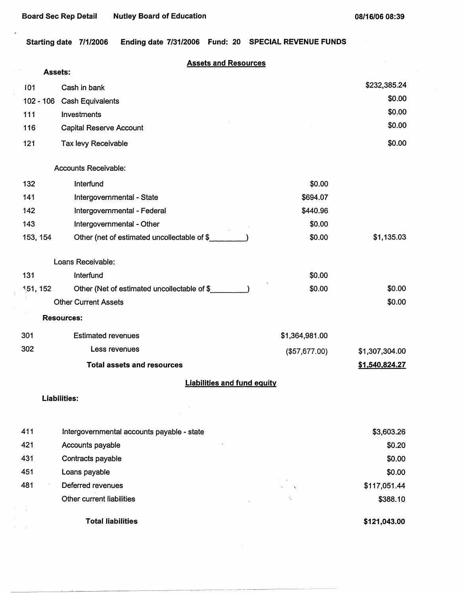$\ddot{\phantom{0}}$ 

**Starting date 7/1/2006 Ending date 7/31/2006 Fund: 20 SPECIAL REVENUE FUNDS** 

# **Assets and Resources**

|     | Assets:  |                                             |                |                |
|-----|----------|---------------------------------------------|----------------|----------------|
| 101 |          | Cash in bank                                |                | \$232,385.24   |
|     |          | 102 - 106 Cash Equivalents                  |                | \$0.00         |
| 111 |          | Investments                                 |                | \$0.00         |
| 116 |          | <b>Capital Reserve Account</b>              |                | \$0.00         |
| 121 |          | Tax levy Receivable                         |                | \$0.00         |
|     |          | <b>Accounts Receivable:</b>                 |                |                |
| 132 |          | Interfund                                   | \$0.00         |                |
| 141 |          | Intergovernmental - State                   | \$694.07       |                |
| 142 |          | Intergovernmental - Federal                 | \$440.96       |                |
| 143 |          | Intergovernmental - Other                   | \$0.00         |                |
|     | 153, 154 | Other (net of estimated uncollectable of \$ | \$0.00         | \$1,135.03     |
|     |          | Loans Receivable:                           |                |                |
| 131 |          | Interfund                                   | \$0.00         |                |
|     | 151, 152 | Other (Net of estimated uncollectable of \$ | \$0.00         | \$0.00         |
|     |          | <b>Other Current Assets</b>                 |                | \$0.00         |
|     |          | <b>Resources:</b>                           |                |                |
| 301 |          | <b>Estimated revenues</b>                   | \$1,364,981.00 |                |
| 302 |          | Less revenues                               | (\$57,677.00)  | \$1,307,304.00 |
|     |          | <b>Total assets and resources</b>           |                | \$1,540,824.27 |
|     |          | <b>Liabilities and fund equity</b>          |                |                |
|     |          | <b>Liabilities:</b>                         |                |                |
|     |          |                                             |                |                |
| 411 |          | Intergovernmental accounts payable - state  |                | \$3,603.26     |
| 421 |          | Accounts payable                            |                | \$0.20         |
| 431 |          | Contracts payable                           |                | \$0.00         |
| 451 |          | Loans payable                               |                | \$0.00         |
| 481 |          | Deferred revenues                           |                | \$117,051.44   |
|     |          | Other current liabilities                   |                | \$388.10       |
|     |          | <b>Total liabilities</b>                    |                | \$121,043.00   |

----------- ----------- ------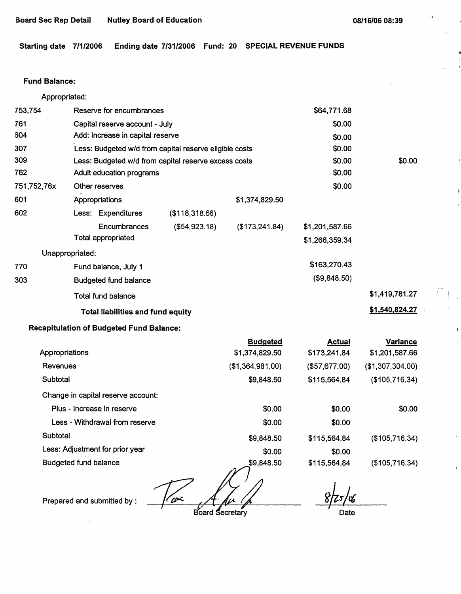**Starting date 7/1/2006 Ending date 7/31/2006 Fund: 20 SPECIAL REVENUE FUNDS** 

### **Fund Balance:**

|             | Appropriated:                                   |                                  |                                                        |                  |                |                  |
|-------------|-------------------------------------------------|----------------------------------|--------------------------------------------------------|------------------|----------------|------------------|
| 753,754     |                                                 | Reserve for encumbrances         |                                                        |                  | \$64,771.68    |                  |
| 761         |                                                 | Capital reserve account - July   |                                                        |                  |                |                  |
| 604         |                                                 | Add: Increase in capital reserve |                                                        |                  |                |                  |
| 307         |                                                 |                                  | Less: Budgeted w/d from capital reserve eligible costs |                  | \$0.00         |                  |
| 309         |                                                 |                                  | Less: Budgeted w/d from capital reserve excess costs   |                  | \$0.00         | \$0.00           |
| 762         | Adult education programs                        |                                  |                                                        |                  | \$0.00         |                  |
| 751,752,76x | Other reserves                                  |                                  |                                                        |                  | \$0.00         |                  |
| 601         | Appropriations                                  |                                  |                                                        | \$1,374,829.50   |                |                  |
| 602         | Less: Expenditures                              |                                  | (\$118,318.66)                                         |                  |                |                  |
|             | Encumbrances                                    |                                  | (\$54,923.18)                                          | (\$173, 241.84)  | \$1,201,587.66 |                  |
|             | <b>Total appropriated</b>                       |                                  |                                                        |                  | \$1,266,359.34 |                  |
|             | Unappropriated:                                 |                                  |                                                        |                  |                |                  |
| 770         | Fund balance, July 1                            |                                  |                                                        |                  | \$163,270.43   |                  |
| 303         | <b>Budgeted fund balance</b>                    |                                  |                                                        |                  | (\$9,848.50)   |                  |
|             | Total fund balance                              |                                  |                                                        |                  | \$1,419,781.27 |                  |
|             | <b>Total liabilities and fund equity</b>        |                                  |                                                        |                  |                | \$1,540,824.27   |
|             | <b>Recapitulation of Budgeted Fund Balance:</b> |                                  |                                                        |                  |                |                  |
|             |                                                 |                                  |                                                        | <b>Budgeted</b>  | <b>Actual</b>  | <b>Variance</b>  |
|             | Appropriations                                  |                                  |                                                        | \$1,374,829.50   | \$173,241.84   | \$1,201,587.66   |
| Revenues    |                                                 |                                  |                                                        | (\$1,364,981.00) | (\$57,677.00)  | (\$1,307,304.00) |
| Subtotal    |                                                 |                                  |                                                        | \$9,848.50       | \$115,564.84   | (\$105,716.34)   |
|             | Change in capital reserve account:              |                                  |                                                        |                  |                |                  |
|             | Plus - Increase in reserve                      |                                  |                                                        | \$0.00           | \$0.00         | \$0.00           |
|             | Less - Withdrawal from reserve                  |                                  |                                                        | \$0.00           | \$0.00         |                  |
| Subtotal    |                                                 |                                  |                                                        | \$9,848.50       | \$115,564.84   | (\$105,716.34)   |

Less: Adjustment for prior year

Budgeted fund balance

\$0.00 \$9,848.50

az

Prepared and submitted by :

Board Secretary

 $\frac{1}{256}$ *I* 

\$0.00

\$115,564.84

**Date** 

(\$105,716.34)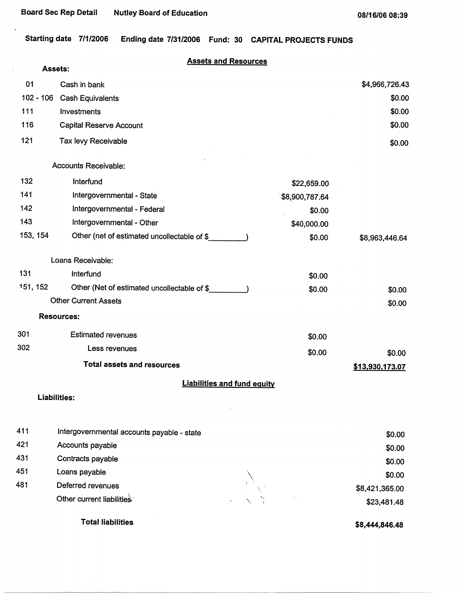$\,$   $\,$ 

Starting date 7/1/2006 Ending date 7/31/2006 Fund: 30 CAPITAL PROJECTS FUNDS

|          | Assets:                                     | <b>Assets and Resources</b>        |                       |
|----------|---------------------------------------------|------------------------------------|-----------------------|
| 01       | Cash in bank                                |                                    | \$4,966,726.43        |
|          | $102 - 106$                                 |                                    | \$0.00                |
| 111      | <b>Cash Equivalents</b><br>Investments      |                                    | \$0.00                |
| 116      |                                             |                                    | \$0.00                |
|          | <b>Capital Reserve Account</b>              |                                    |                       |
| 121      | <b>Tax levy Receivable</b>                  |                                    | \$0.00                |
|          | Accounts Receivable:                        |                                    |                       |
| 132      | Interfund                                   | \$22,659.00                        |                       |
| 141      | Intergovernmental - State                   | \$8,900,787.64                     |                       |
| 142      | Intergovernmental - Federal                 | \$0.00                             |                       |
| 143      | Intergovernmental - Other                   | \$40,000.00                        |                       |
| 153, 154 | Other (net of estimated uncollectable of \$ | \$0.00                             | \$8,963,446.64        |
|          | Loans Receivable:                           |                                    |                       |
| 131      | Interfund                                   | \$0.00                             |                       |
| 151, 152 | Other (Net of estimated uncollectable of \$ | \$0.00                             | \$0.00                |
|          | <b>Other Current Assets</b>                 |                                    | \$0.00                |
|          | <b>Resources:</b>                           |                                    |                       |
| 301      | <b>Estimated revenues</b>                   | \$0.00                             |                       |
| 302      | Less revenues                               | \$0.00                             | \$0.00                |
|          | <b>Total assets and resources</b>           |                                    | \$13,930,173.07       |
|          |                                             | <b>Liabilities and fund equity</b> |                       |
|          | <b>Liabilities:</b>                         |                                    |                       |
| 411      | Intergovernmental accounts payable - state  |                                    | \$0.00                |
| 421      | Accounts payable                            |                                    | \$0.00                |
| 431      | Contracts payable                           |                                    | \$0.00                |
| 451      | Loans payable                               |                                    | \$0.00                |
| 481      | Deferred revenues                           |                                    | \$8,421,365.00        |
|          | Other current liabilities                   |                                    | \$23,481.48           |
|          | <b>Total liabilities</b>                    |                                    | <b>\$8 AAA RAG AR</b> |

**\$8,444,846.48**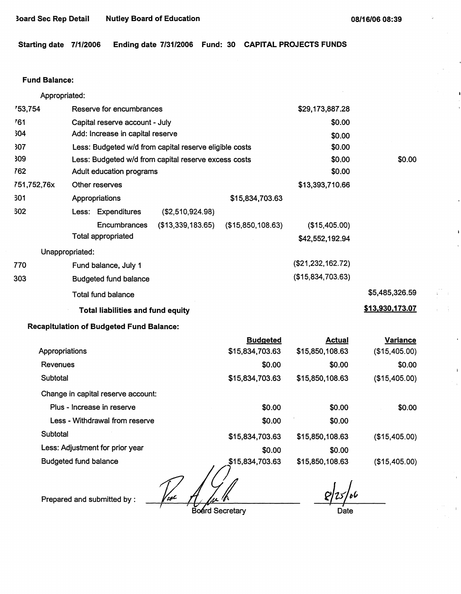**Starting date 7/1/2006 Ending date 7/31/2006 Fund: 30 CAPITAL PROJECTS FUNDS** 

#### Fund **Balance:**

| Appropriated: |                                                        |                   |                   |                 |
|---------------|--------------------------------------------------------|-------------------|-------------------|-----------------|
| '53,754       | Reserve for encumbrances                               |                   | \$29,173,887.28   |                 |
| 761           | Capital reserve account - July                         |                   | \$0.00            |                 |
| 304           | Add: Increase in capital reserve                       | \$0.00            |                   |                 |
| 307           | Less: Budgeted w/d from capital reserve eligible costs |                   | \$0.00            |                 |
| 309           | Less: Budgeted w/d from capital reserve excess costs   |                   | \$0.00            | \$0.00          |
| 762           | Adult education programs                               |                   | \$0.00            |                 |
| 751,752,76x   | Other reserves                                         |                   | \$13,393,710.66   |                 |
| 301           | Appropriations                                         | \$15,834,703.63   |                   |                 |
| 302           | Less: Expenditures<br>(\$2,510,924.98)                 |                   |                   |                 |
|               | (\$13,339,183.65)<br>Encumbrances                      | (\$15,850,108.63) | (\$15,405.00)     |                 |
|               | <b>Total appropriated</b>                              |                   | \$42,552,192.94   |                 |
|               | Unappropriated:                                        |                   |                   |                 |
| 770           | Fund balance, July 1                                   |                   | (\$21,232,162.72) |                 |
| 303           | <b>Budgeted fund balance</b>                           |                   | (\$15,834,703.63) |                 |
|               | <b>Total fund balance</b>                              |                   |                   | \$5,485,326.59  |
|               | <b>Total liabilities and fund equity</b>               |                   |                   | \$13,930,173.07 |
|               | <b>Recapitulation of Budgeted Fund Balance:</b>        |                   |                   |                 |
|               |                                                        |                   |                   |                 |

|                                    | <b>Budgeted</b> | <b>Actual</b>   | Variance      |
|------------------------------------|-----------------|-----------------|---------------|
| Appropriations                     | \$15,834,703.63 | \$15,850,108.63 | (\$15,405.00) |
| <b>Revenues</b>                    | \$0.00          | \$0.00          | \$0.00        |
| Subtotal                           | \$15,834,703.63 | \$15,850,108.63 | (\$15,405.00) |
| Change in capital reserve account: |                 |                 |               |
| Plus - Increase in reserve         | \$0.00          | \$0.00          | \$0.00        |
| Less - Withdrawal from reserve     | \$0.00          | \$0.00          |               |
| Subtotal                           | \$15,834,703.63 | \$15,850,108.63 | (\$15,405.00) |
| Less: Adjustment for prior year    | \$0.00          | \$0.00          |               |
| <b>Budgeted fund balance</b>       | \$15,834,703.63 | \$15,850,108.63 | (\$15,405.00) |

Viol

Prepared and submitted by :

Board Secretary

 $8/25/66$ • *I*  Date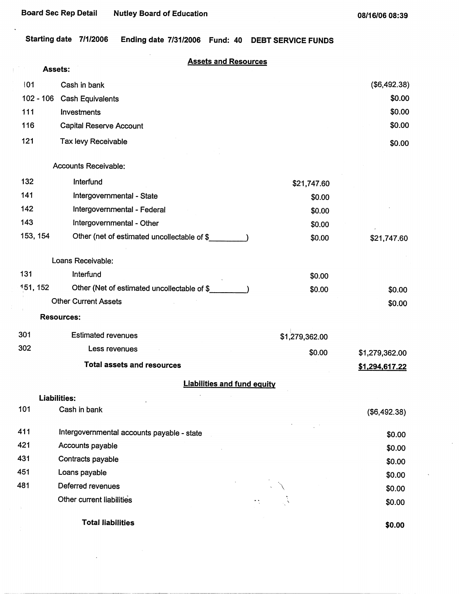**08/16/06 08:39** 

**Starting date 7/1/2006 Ending date 7/31/2006** Fund: **40 DEBT SERVICE FUNDS** 

|             | <b>Assets and Resources</b><br><b>Assets:</b> |                |                |
|-------------|-----------------------------------------------|----------------|----------------|
| 01          | Cash in bank                                  |                | (\$6,492.38)   |
| $102 - 106$ | <b>Cash Equivalents</b>                       |                | \$0.00         |
| 111         | Investments                                   |                | \$0.00         |
| 116         | <b>Capital Reserve Account</b>                |                | \$0.00         |
| 121         | Tax levy Receivable                           |                | \$0.00         |
|             | <b>Accounts Receivable:</b>                   |                |                |
| 132         | Interfund                                     | \$21,747.60    |                |
| 141         | Intergovernmental - State                     | \$0.00         |                |
| 142         | Intergovernmental - Federal                   | \$0.00         |                |
| 143         | Intergovernmental - Other                     | \$0.00         |                |
| 153, 154    | Other (net of estimated uncollectable of \$   | \$0.00         | \$21,747.60    |
|             | Loans Receivable:                             |                |                |
| 131         | Interfund                                     | \$0.00         |                |
| 151, 152    | Other (Net of estimated uncollectable of \$   | \$0.00         | \$0.00         |
|             | <b>Other Current Assets</b>                   |                | \$0.00         |
|             | <b>Resources:</b>                             |                |                |
| 301         | <b>Estimated revenues</b>                     | \$1,279,362.00 |                |
| 302         | Less revenues                                 | \$0.00         | \$1,279,362.00 |
|             | <b>Total assets and resources</b>             |                | \$1,294,617.22 |
|             | <b>Liabilities and fund equity</b>            |                |                |
|             | <b>Liabilities:</b>                           |                |                |
| 101         | Cash in bank                                  |                | (\$6,492.38)   |
| 411         | Intergovernmental accounts payable - state    |                | \$0.00         |
| 421         | Accounts payable                              |                | \$0.00         |
| 431         | Contracts payable                             |                | \$0.00         |
| 451         | Loans payable                                 |                | \$0.00         |
| 481         | Deferred revenues                             |                | \$0.00         |
|             | Other current liabilities                     |                | \$0.00         |
|             | <b>Total liabilities</b>                      |                | \$0.00         |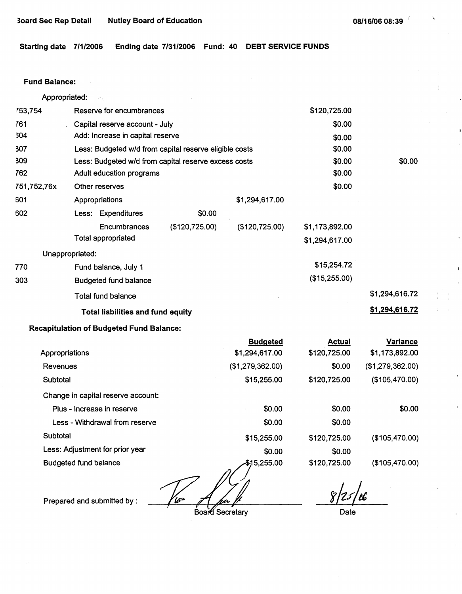À.

**Starting date 7/1/2006 Ending date 7/31/2006 Fund: 40 DEBT SERVICE FUNDS** 

### **Fund Balance:**

| Appropriated:                      |  |                                                        |                |                  |                |                  |
|------------------------------------|--|--------------------------------------------------------|----------------|------------------|----------------|------------------|
| 753,754                            |  | Reserve for encumbrances                               |                |                  | \$120,725.00   |                  |
| 761                                |  | Capital reserve account - July                         |                |                  | \$0.00         |                  |
| 304                                |  | Add: Increase in capital reserve                       |                |                  | \$0.00         |                  |
| 307                                |  | Less: Budgeted w/d from capital reserve eligible costs |                |                  | \$0.00         |                  |
| 309                                |  | Less: Budgeted w/d from capital reserve excess costs   |                |                  | \$0.00         | \$0.00           |
| 762                                |  | Adult education programs                               |                | \$0.00           |                |                  |
| 751,752,76x                        |  | Other reserves                                         |                |                  | \$0.00         |                  |
| 601                                |  | Appropriations                                         |                | \$1,294,617.00   |                |                  |
| 602                                |  | Less: Expenditures                                     | \$0.00         |                  |                |                  |
|                                    |  | Encumbrances                                           | (\$120,725.00) | (\$120, 725.00)  | \$1,173,892.00 |                  |
|                                    |  | <b>Total appropriated</b>                              |                |                  | \$1,294,617.00 |                  |
| Unappropriated:                    |  |                                                        |                |                  |                |                  |
| 770                                |  | Fund balance, July 1                                   |                |                  | \$15,254.72    |                  |
| 303                                |  | <b>Budgeted fund balance</b>                           |                |                  | (\$15,255.00)  |                  |
|                                    |  | <b>Total fund balance</b>                              |                |                  |                | \$1,294,616.72   |
|                                    |  | <b>Total liabilities and fund equity</b>               |                |                  |                | \$1,294,616.72   |
|                                    |  | <b>Recapitulation of Budgeted Fund Balance:</b>        |                |                  |                |                  |
|                                    |  |                                                        |                | <b>Budgeted</b>  | <b>Actual</b>  | <b>Variance</b>  |
| Appropriations                     |  |                                                        |                | \$1,294,617.00   | \$120,725.00   | \$1,173,892.00   |
| <b>Revenues</b>                    |  |                                                        |                | (\$1,279,362.00) | \$0.00         | (\$1,279,362.00) |
| Subtotal                           |  |                                                        |                | \$15,255.00      | \$120,725.00   | (\$105,470.00)   |
| Change in capital reserve account: |  |                                                        |                |                  |                |                  |
|                                    |  | Plus - Increase in reserve                             |                | \$0.00           | \$0.00         | \$0.00           |
|                                    |  | Less - Withdrawal from reserve                         |                | \$0.00           | \$0.00         |                  |
| Subtotal                           |  |                                                        |                | \$15,255.00      | \$120,725.00   | (\$105,470.00)   |
|                                    |  | Less: Adjustment for prior year                        |                | \$0.00           | \$0.00         |                  |
| <b>Budgeted fund balance</b>       |  |                                                        |                | \$15,255.00      | \$120,725.00   | (\$105,470.00)   |

<u>Vior</u>

Prepared and submitted by :

Board Secretary

 $8/25/66$ 

Date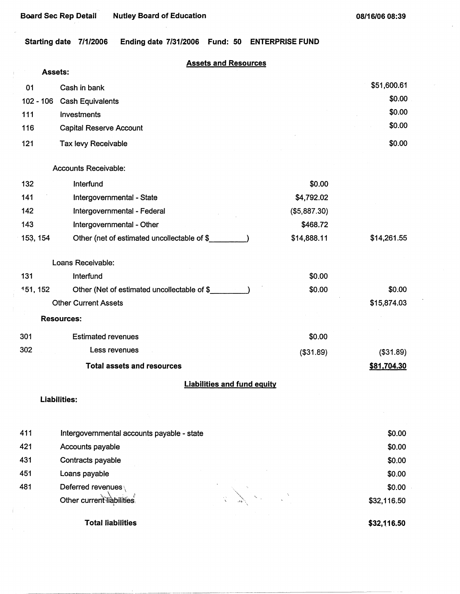**Starting date 7/1/2006 Ending date 7/31/2006 Fund: 50 ENTERPRISE FUND** 

# **Assets and Resources**

|             | <b>Assets:</b> |                                             |              |             |
|-------------|----------------|---------------------------------------------|--------------|-------------|
| 01          |                | Cash in bank                                |              | \$51,600.61 |
| $102 - 106$ |                | <b>Cash Equivalents</b>                     |              | \$0.00      |
| 111         |                | Investments                                 |              | \$0.00      |
| 116         |                | <b>Capital Reserve Account</b>              |              | \$0.00      |
| 121         |                | Tax levy Receivable                         |              | \$0.00      |
|             |                | <b>Accounts Receivable:</b>                 |              |             |
| 132         |                | Interfund                                   | \$0.00       |             |
| 141         |                | Intergovernmental - State                   | \$4,792.02   |             |
| 142         |                | Intergovernmental - Federal                 | (\$5,887.30) |             |
| 143         |                | Intergovernmental - Other                   | \$468.72     |             |
| 153, 154    |                | Other (net of estimated uncollectable of \$ | \$14,888.11  | \$14,261.55 |
|             |                | Loans Receivable:                           |              |             |
| 131         |                | Interfund                                   | \$0.00       |             |
| 151, 152    |                | Other (Net of estimated uncollectable of \$ | \$0.00       | \$0.00      |
|             |                | <b>Other Current Assets</b>                 |              | \$15,874.03 |
|             |                | <b>Resources:</b>                           |              |             |
| 301         |                | <b>Estimated revenues</b>                   | \$0.00       |             |
| 302         |                | Less revenues                               | ( \$31.89)   | (\$31.89)   |
|             |                | <b>Total assets and resources</b>           |              | \$81,704.30 |
|             |                | <b>Liabilities and fund equity</b>          |              |             |
|             |                | Liabilities:                                |              |             |
| 411         |                | Intergovernmental accounts payable - state  |              | \$0.00      |
| 421         |                | Accounts payable                            |              | \$0.00      |
| 431         |                | Contracts payable                           |              | \$0.00      |
| 451         |                | Loans payable                               |              | \$0.00      |
| 481         |                | Deferred revenues                           |              | \$0.00      |
|             |                | Other current liabilities                   |              | \$32,116.50 |
|             |                | <b>Total liabilities</b>                    |              | \$32,116.50 |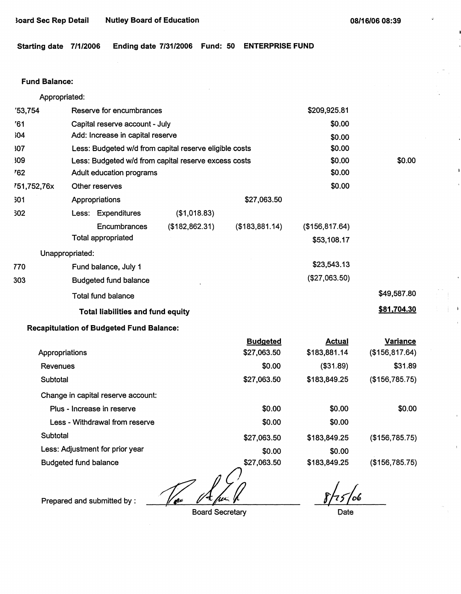Starting date 7/1/2006 Ending date 7/31/2006 Fund: 50 ENTERPRISE FUND

### **Fund Balance:**

| Appropriated:  |                              |                                                        |                 |                 |                 |                 |
|----------------|------------------------------|--------------------------------------------------------|-----------------|-----------------|-----------------|-----------------|
| 753,754        | Reserve for encumbrances     |                                                        |                 |                 | \$209,925.81    |                 |
| '61            |                              | Capital reserve account - July                         |                 |                 | \$0.00          |                 |
| 304            |                              | Add: Increase in capital reserve                       |                 |                 | \$0.00          |                 |
| 307            |                              | Less: Budgeted w/d from capital reserve eligible costs |                 |                 | \$0.00          |                 |
| 309            |                              | Less: Budgeted w/d from capital reserve excess costs   |                 |                 | \$0.00          | \$0.00          |
| 762            |                              | Adult education programs                               |                 |                 | \$0.00          |                 |
| 751,752,76x    |                              | Other reserves                                         |                 |                 | \$0.00          |                 |
| 301            |                              | Appropriations                                         |                 | \$27,063.50     |                 |                 |
| 302            |                              | Less: Expenditures                                     | (\$1,018.83)    |                 |                 |                 |
|                |                              | Encumbrances                                           | (\$182, 862.31) | (\$183,881.14)  | (\$156, 817.64) |                 |
|                |                              | <b>Total appropriated</b>                              |                 |                 | \$53,108.17     |                 |
|                | Unappropriated:              |                                                        |                 |                 |                 |                 |
| 770            |                              | Fund balance, July 1                                   |                 |                 | \$23,543.13     |                 |
| 303            |                              | <b>Budgeted fund balance</b>                           |                 |                 | (\$27,063.50)   |                 |
|                |                              | <b>Total fund balance</b>                              |                 |                 |                 | \$49,587.80     |
|                |                              | <b>Total liabilities and fund equity</b>               |                 |                 |                 | \$81,704.30     |
|                |                              | <b>Recapitulation of Budgeted Fund Balance:</b>        |                 |                 |                 |                 |
|                |                              |                                                        |                 | <b>Budgeted</b> | <b>Actual</b>   | <b>Variance</b> |
| Appropriations |                              |                                                        |                 | \$27,063.50     | \$183,881.14    | (\$156, 817.64) |
| Revenues       |                              |                                                        |                 | \$0.00          | (\$31.89)       | \$31.89         |
| Subtotal       |                              |                                                        |                 | \$27,063.50     | \$183,849.25    | (\$156,785.75)  |
|                |                              | Change in capital reserve account:                     |                 |                 |                 |                 |
|                |                              | Plus - Increase in reserve                             |                 | \$0.00          | \$0.00          | \$0.00          |
|                |                              | Less - Withdrawal from reserve                         |                 | \$0.00          | \$0.00          |                 |
| Subtotal       |                              |                                                        |                 | \$27,063.50     | \$183,849.25    | (\$156,785.75)  |
|                |                              | Less: Adjustment for prior year                        |                 | \$0.00          | \$0.00          |                 |
|                | <b>Budgeted fund balance</b> |                                                        |                 | \$27,063.50     | \$183,849.25    | (\$156,785.75)  |

Prepared and submitted by :  $\frac{1}{\sqrt{1-\frac{1}{n^{2}}}$ <br>Board Secretary

Board Secretary

*r/4,(o,*   $\overline{r}$ 

Date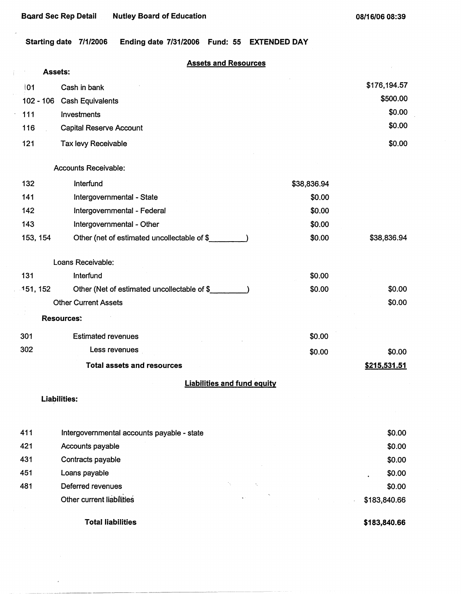Ť.

 $\epsilon$ 

**Starting date 7/1/2006 Ending date 7/31/2006 Fund: 55 EXTENDED DAY** 

# **Assets and Resources**

|             | <b>Assets:</b>                              |             |              |
|-------------|---------------------------------------------|-------------|--------------|
| 01          | Cash in bank                                |             | \$176,194.57 |
| $102 - 106$ | <b>Cash Equivalents</b>                     |             | \$500.00     |
| 111         | Investments                                 |             | \$0.00       |
| 116         | <b>Capital Reserve Account</b>              |             | \$0.00       |
| 121         | Tax levy Receivable                         |             | \$0.00       |
|             | <b>Accounts Receivable:</b>                 |             |              |
| 132         | Interfund                                   | \$38,836.94 |              |
| 141         | Intergovernmental - State                   | \$0.00      |              |
| 142         | Intergovernmental - Federal                 | \$0.00      |              |
| 143         | Intergovernmental - Other                   | \$0.00      |              |
| 153, 154    | Other (net of estimated uncollectable of \$ | \$0.00      | \$38,836.94  |
|             | Loans Receivable:                           |             |              |
| 131         | Interfund                                   | \$0.00      |              |
| 151, 152    | Other (Net of estimated uncollectable of \$ | \$0.00      | \$0.00       |
|             | <b>Other Current Assets</b>                 |             | \$0.00       |
|             | <b>Resources:</b>                           |             |              |
| 301         | <b>Estimated revenues</b>                   | \$0.00      |              |
| 302         | Less revenues                               | \$0.00      | \$0.00       |
|             | <b>Total assets and resources</b>           |             | \$215,531.51 |
|             | <b>Liabilities and fund equity</b>          |             |              |
|             | Liabilities:                                |             |              |
| 411         | Intergovernmental accounts payable - state  |             | \$0.00       |
| 421         | Accounts payable                            |             | \$0.00       |
| 431         | Contracts payable                           |             | \$0.00       |
| 451         | Loans payable                               |             | \$0.00       |
| 481         | Deferred revenues                           |             | \$0.00       |
|             | Other current liabilities                   |             | \$183,840.66 |
|             | <b>Total liabilities</b>                    |             | \$183,840.66 |